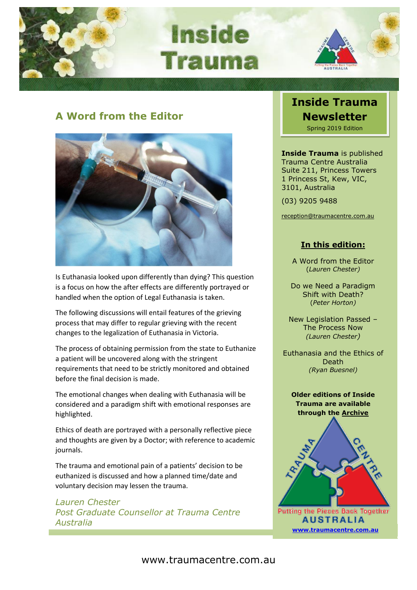

**Inside Tauma** 



## **A Word from the Editor**



Is Euthanasia looked upon differently than dying? This question is a focus on how the after effects are differently portrayed or handled when the option of Legal Euthanasia is taken.

The following discussions will entail features of the grieving process that may differ to regular grieving with the recent changes to the legalization of Euthanasia in Victoria.

The process of obtaining permission from the state to Euthanize a patient will be uncovered along with the stringent requirements that need to be strictly monitored and obtained before the final decision is made.

The emotional changes when dealing with Euthanasia will be considered and a paradigm shift with emotional responses are highlighted.

Ethics of death are portrayed with a personally reflective piece and thoughts are given by a Doctor; with reference to academic journals.

The trauma and emotional pain of a patients' decision to be euthanized is discussed and how a planned time/date and voluntary decision may lessen the trauma.

*Lauren Chester Post Graduate Counsellor at Trauma Centre Australia*

## **Inside Trauma Newsletter** Spring 2019 Edition

**Inside Trauma** is published Trauma Centre Australia Suite 211, Princess Towers 1 Princess St, Kew, VIC, 3101, Australia

(03) 9205 9488

[reception@traumacentre.com.au](mailto:reception@traumacentre.com.au)

## **In this edition:**

A Word from the Editor (*Lauren Chester)*

Do we Need a Paradigm Shift with Death? (*Peter Horton)*

New Legislation Passed – The Process Now *(Lauren Chester)*

Euthanasia and the Ethics of Death *(Ryan Buesnel)*

### **Older editions of Inside Trauma are available through the [Archive](http://www.traumacentre.com.au/newsletter/index.html)**



**AUSTRALIA [www.traumacentre.com.au](http://www.traumacentre.com.au/)**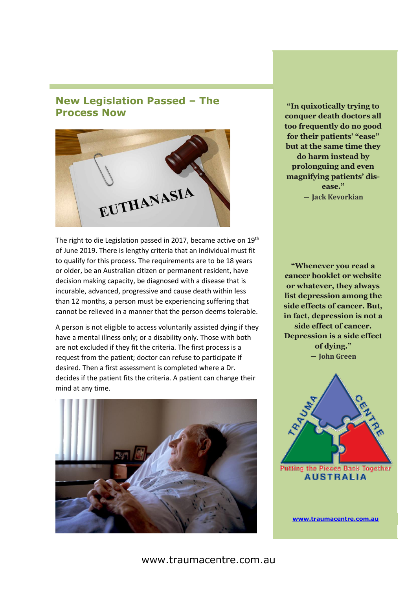## **New Legislation Passed – The Process Now**



The right to die Legislation passed in 2017, became active on 19<sup>th</sup> of June 2019. There is lengthy criteria that an individual must fit to qualify for this process. The requirements are to be 18 years or older, be an Australian citizen or permanent resident, have decision making capacity, be diagnosed with a disease that is incurable, advanced, progressive and cause death within less than 12 months, a person must be experiencing suffering that cannot be relieved in a manner that the person deems tolerable.

A person is not eligible to access voluntarily assisted dying if they have a mental illness only; or a disability only. Those with both are not excluded if they fit the criteria. The first process is a request from the patient; doctor can refuse to participate if desired. Then a first assessment is completed where a Dr. decides if the patient fits the criteria. A patient can change their mind at any time.



**"In quixotically trying to conquer death doctors all too frequently do no good for their patients' "ease" but at the same time they do harm instead by prolonguing and even magnifying patients' disease." ― Jack Kevorkian**

**"Whenever you read a cancer booklet or website or whatever, they always list depression among the side effects of cancer. But, in fact, depression is not a side effect of cancer. Depression is a side effect of dying." ― John Green**



**[www.traumacentre.com.au](http://www.traumacentre.com.au/)**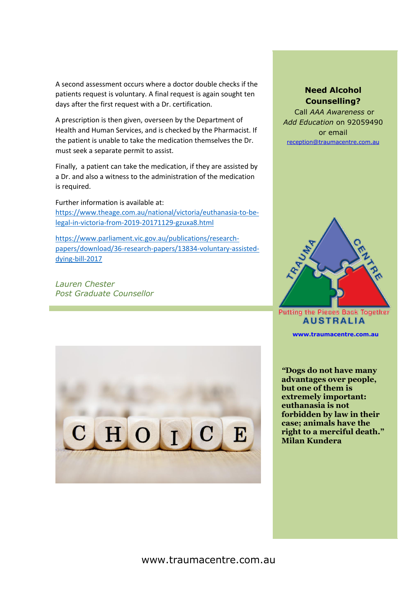A second assessment occurs where a doctor double checks if the patients request is voluntary. A final request is again sought ten days after the first request with a Dr. certification.

A prescription is then given, overseen by the Department of Health and Human Services, and is checked by the Pharmacist. If the patient is unable to take the medication themselves the Dr. must seek a separate permit to assist.

Finally, a patient can take the medication, if they are assisted by a Dr. and also a witness to the administration of the medication is required.

Further information is available at: [https://www.theage.com.au/national/victoria/euthanasia-to-be](https://www.theage.com.au/national/victoria/euthanasia-to-be-legal-in-victoria-from-2019-20171129-gzuxa8.html)[legal-in-victoria-from-2019-20171129-gzuxa8.html](https://www.theage.com.au/national/victoria/euthanasia-to-be-legal-in-victoria-from-2019-20171129-gzuxa8.html)

[https://www.parliament.vic.gov.au/publications/research](https://www.parliament.vic.gov.au/publications/research-papers/download/36-research-papers/13834-voluntary-assisted-dying-bill-2017)[papers/download/36-research-papers/13834-voluntary-assisted](https://www.parliament.vic.gov.au/publications/research-papers/download/36-research-papers/13834-voluntary-assisted-dying-bill-2017)[dying-bill-2017](https://www.parliament.vic.gov.au/publications/research-papers/download/36-research-papers/13834-voluntary-assisted-dying-bill-2017)

*Lauren Chester Post Graduate Counsellor*



Call *AAA Awareness* or *Add Education* on 92059490 or email [reception@traumacentre.com.au](mailto:reception@traumacentre.com.au)



**Putting the Pieces Back Together AUSTRALIA** 

**[www.traumacentre.com.au](http://www.traumacentre.com.au/)**

*"***Dogs do not have many advantages over people, but one of them is extremely important: euthanasia is not forbidden by law in their case; animals have the right to a merciful death." Milan Kundera**

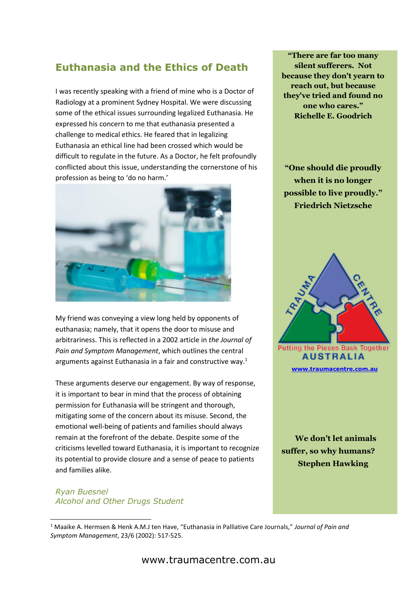# **Euthanasia and the Ethics of Death**

I was recently speaking with a friend of mine who is a Doctor of Radiology at a prominent Sydney Hospital. We were discussing some of the ethical issues surrounding legalized Euthanasia. He expressed his concern to me that euthanasia presented a challenge to medical ethics. He feared that in legalizing Euthanasia an ethical line had been crossed which would be difficult to regulate in the future. As a Doctor, he felt profoundly conflicted about this issue, understanding the cornerstone of his profession as being to 'do no harm.'



My friend was conveying a view long held by opponents of euthanasia; namely, that it opens the door to misuse and arbitrariness. This is reflected in a 2002 article in *the Journal of Pain and Symptom Management*, which outlines the central arguments against Euthanasia in a fair and constructive way.<sup>1</sup>

These arguments deserve our engagement. By way of response, it is important to bear in mind that the process of obtaining permission for Euthanasia will be stringent and thorough, mitigating some of the concern about its misuse. Second, the emotional well-being of patients and families should always remain at the forefront of the debate. Despite some of the criticisms levelled toward Euthanasia, it is important to recognize its potential to provide closure and a sense of peace to patients and families alike.

#### *Ryan Buesnel Alcohol and Other Drugs Student*

**"There are far too many silent sufferers. Not because they don't yearn to reach out, but because they've tried and found no one who cares." Richelle E. Goodrich**

**"[One should die proudly](https://www.azquotes.com/quote/214556?ref=euthanasia)  [when it is no longer](https://www.azquotes.com/quote/214556?ref=euthanasia)  [possible to live proudly.](https://www.azquotes.com/quote/214556?ref=euthanasia)" [Friedrich Nietzsche](https://www.azquotes.com/author/10823-Friedrich_Nietzsche)**



**Putting the Pieces Back Together AUSTRALIA [www.traumacentre.com.au](http://www.traumacentre.com.au/)**

 **[We don't let animals](https://www.azquotes.com/quote/869132?ref=euthanasia)  [suffer, so why humans?](https://www.azquotes.com/quote/869132?ref=euthanasia) [Stephen Hawking](https://www.azquotes.com/author/6401-Stephen_Hawking)**

<sup>1</sup> Maaike A. Hermsen & Henk A.M.J ten Have, "Euthanasia in Palliative Care Journals," *Journal of Pain and Symptom Management*, 23/6 (2002): 517-525.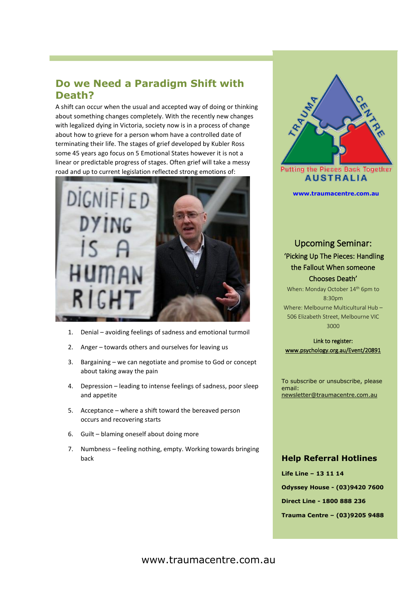## **Do we Need a Paradigm Shift with Death?**

A shift can occur when the usual and accepted way of doing or thinking about something changes completely. With the recently new changes with legalized dying in Victoria, society now is in a process of change about how to grieve for a person whom have a controlled date of terminating their life. The stages of grief developed by Kubler Ross some 45 years ago focus on 5 Emotional States however it is not a linear or predictable progress of stages. Often grief will take a messy road and up to current legislation reflected strong emotions of:



- 1. Denial avoiding feelings of sadness and emotional turmoil
- 2. Anger towards others and ourselves for leaving us
- 3. Bargaining we can negotiate and promise to God or concept about taking away the pain
- 4. Depression leading to intense feelings of sadness, poor sleep and appetite
- 5. Acceptance where a shift toward the bereaved person occurs and recovering starts
- 6. Guilt blaming oneself about doing more
- 7. Numbness feeling nothing, empty. Working towards bringing back



**Putting the Pieces Back Together AUSTRALIA** 

**[www.traumacentre.com.au](http://www.traumacentre.com.au/)**

## Upcoming Seminar: 'Picking Up The Pieces: Handling the Fallout When someone Chooses Death'

When: Monday October 14th 6pm to 8:30pm Where: Melbourne Multicultural Hub – 506 Elizabeth Street, Melbourne VIC 3000

Link to register: [www.psychology.org.au/Event/20891](http://www.psychology.org.au/Event/20891)

To subscribe or unsubscribe, please email: [newsletter@traumacentre.com.au](mailto:newsletter@traumacentre.com.au?subject=Newsletter%20-%20Unsubcribe)

#### **Help Referral Hotlines**

**Life Line – 13 11 14 Odyssey House - (03)9420 7600 Direct Line - 1800 888 236 Trauma Centre – (03)9205 9488**